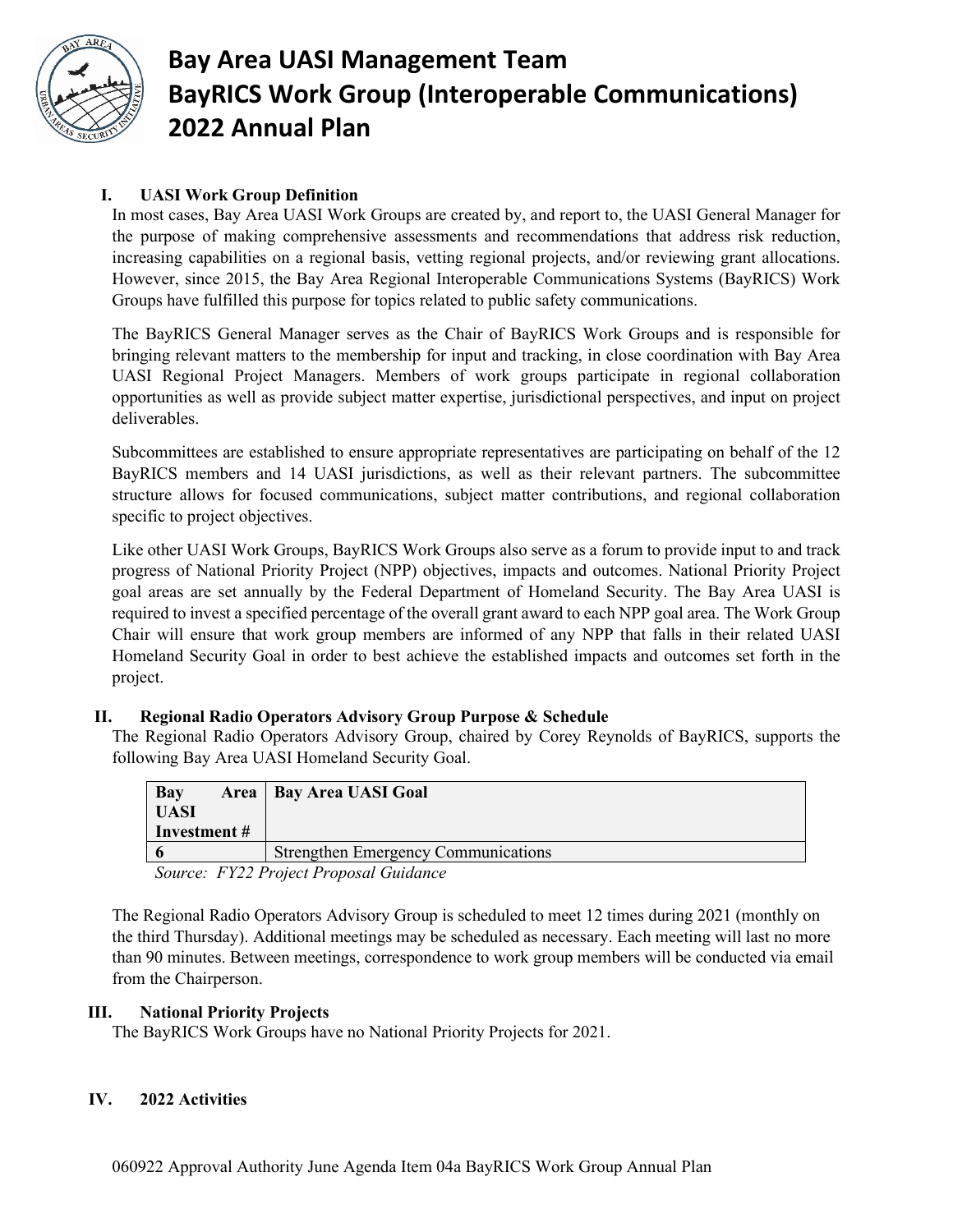

# **Bay Area UASI Management Team BayRICS Work Group (Interoperable Communications) 2022 Annual Plan**

## **I. UASI Work Group Definition**

In most cases, Bay Area UASI Work Groups are created by, and report to, the UASI General Manager for the purpose of making comprehensive assessments and recommendations that address risk reduction, increasing capabilities on a regional basis, vetting regional projects, and/or reviewing grant allocations. However, since 2015, the Bay Area Regional Interoperable Communications Systems (BayRICS) Work Groups have fulfilled this purpose for topics related to public safety communications.

The BayRICS General Manager serves as the Chair of BayRICS Work Groups and is responsible for bringing relevant matters to the membership for input and tracking, in close coordination with Bay Area UASI Regional Project Managers. Members of work groups participate in regional collaboration opportunities as well as provide subject matter expertise, jurisdictional perspectives, and input on project deliverables.

Subcommittees are established to ensure appropriate representatives are participating on behalf of the 12 BayRICS members and 14 UASI jurisdictions, as well as their relevant partners. The subcommittee structure allows for focused communications, subject matter contributions, and regional collaboration specific to project objectives.

Like other UASI Work Groups, BayRICS Work Groups also serve as a forum to provide input to and track progress of National Priority Project (NPP) objectives, impacts and outcomes. National Priority Project goal areas are set annually by the Federal Department of Homeland Security. The Bay Area UASI is required to invest a specified percentage of the overall grant award to each NPP goal area. The Work Group Chair will ensure that work group members are informed of any NPP that falls in their related UASI Homeland Security Goal in order to best achieve the established impacts and outcomes set forth in the project.

#### **II. Regional Radio Operators Advisory Group Purpose & Schedule**

The Regional Radio Operators Advisory Group, chaired by Corey Reynolds of BayRICS, supports the following Bay Area UASI Homeland Security Goal.

| Bay<br>UASI                                                                            | Area   Bay Area UASI Goal                  |
|----------------------------------------------------------------------------------------|--------------------------------------------|
| Investment #                                                                           |                                            |
|                                                                                        | <b>Strengthen Emergency Communications</b> |
| $N_{\text{cutoff}}$ $UV22$ $D_{\text{cutoff}}$ $D_{\text{cutoff}}$ $C_{\text{cutoff}}$ |                                            |

 *Source: FY22 Project Proposal Guidance*

The Regional Radio Operators Advisory Group is scheduled to meet 12 times during 2021 (monthly on the third Thursday). Additional meetings may be scheduled as necessary. Each meeting will last no more than 90 minutes. Between meetings, correspondence to work group members will be conducted via email from the Chairperson.

#### **III. National Priority Projects**

The BayRICS Work Groups have no National Priority Projects for 2021.

## **IV. 2022 Activities**